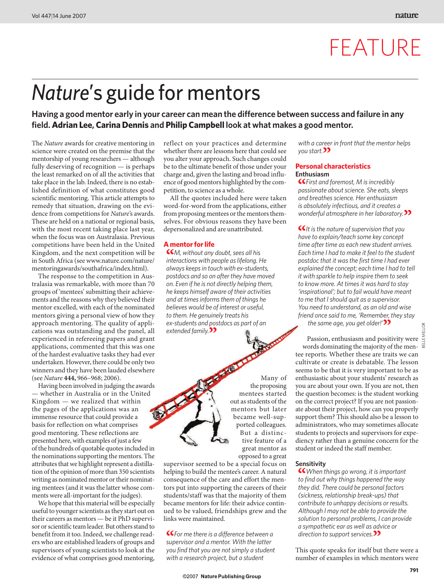# FEATURE

# *Nature*'s guide for mentors

**Having a good mentor early in your career can mean the difference between success and failure in any field. Adrian Lee, Carina Dennis and Philip Campbell look at what makes a good mentor.**

The *Nature* awards for creative mentoring in science were created on the premise that the mentorship of young researchers — although fully deserving of recognition — is perhaps the least remarked on of all the activities that take place in the lab. Indeed, there is no established definition of what constitutes good scientific mentoring. This article attempts to remedy that situation, drawing on the evidence from competitions for *Nature*'s awards. These are held on a national or regional basis, with the most recent taking place last year, when the focus was on Australasia. Previous competitions have been held in the United Kingdom, and the next competition will be in South Africa (see www.nature.com/nature/ mentoringawards/southafrica/index.html).

The response to the competition in Australasia was remarkable, with more than 70 groups of 'mentees' submitting their achievements and the reasons why they believed their mentor excelled, with each of the nominated mentors giving a personal view of how they approach mentoring. The quality of applications was outstanding and the panel, all experienced in refereeing papers and grant applications, commented that this was one of the hardest evaluative tasks they had ever undertaken. However, there could be only two winners and they have been lauded elsewhere (see *Nature* **444,** 966–968; 2006).

Having been involved in judging the awards — whether in Australia or in the United Kingdom — we realized that within the pages of the applications was an immense resource that could provide a basis for reflection on what comprises good mentoring. These reflections are presented here, with examples of just a few of the hundreds of quotable quotes included in the nominations supporting the mentors. The attributes that we highlight represent a distillation of the opinion of more than 350 scientists writing as nominated mentor or their nominating mentees (and it was the latter whose comments were all-important for the judges).

We hope that this material will be especially useful to younger scientists as they start out on their careers as mentors — be it PhD supervisor or scientific team leader. But others stand to benefit from it too. Indeed, we challenge readers who are established leaders of groups and supervisors of young scientists to look at the evidence of what comprises good mentoring,

reflect on your practices and determine whether there are lessons here that could see you alter your approach. Such changes could be to the ultimate benefit of those under your charge and, given the lasting and broad influence of good mentors highlighted by the competition, to science as a whole.

All the quotes included here were taken word-for-word from the applications, either from proposing mentees or the mentors themselves. For obvious reasons they have been depersonalized and are unattributed.

#### **A mentor for life**

**"***M, without any doubt, sees all his interactions with people as lifelong. He always keeps in touch with ex-students, postdocs and so on after they have moved on. Even if he is not directly helping them, he keeps himself aware of their activities and at times informs them of things he believes would be of interest or useful, to them. He genuinely treats his ex-students and postdocs as part of an extended family.* **"**

> **ARE** Many of the proposing mentees started out as students of the mentors but later became well-supported colleagues. But a distinctive feature of a great mentor as opposed to a great

supervisor seemed to be a special focus on helping to build the mentee's career. A natural consequence of the care and effort the mentors put into supporting the careers of their students/staff was that the majority of them became mentors for life: their advice continued to be valued, friendships grew and the links were maintained.

**"***For me there is a difference between a supervisor and a mentor. With the latter you find that you are not simply a student with a research project, but a student* 

*with a career in front that the mentor helps you start.* **"**

### **Personal characteristics Enthusiasm**

**"***First and foremost, M is incredibly passionate about science. She eats, sleeps and breathes science. Her enthusiasm is absolutely infectious, and it creates a wonderful atmosphere in her laboratory.* **"**

**"***It is the nature of supervision that you have to explain/teach some key concept time after time as each new student arrives. Each time I had to make it feel to the student postdoc that it was the first time I had ever explained the concept; each time I had to tell it with sparkle to help inspire them to seek to know more. At times it was hard to stay 'inspirational'; but to fail would have meant to me that I should quit as a supervisor. You need to understand, as an old and wise friend once said to me, 'Remember, they stay the same age, you get older!'* the same age, you get older!'<sup>33</sup><br>Passion, enthusiasm and positivity were

words dominating the majority of the mentee reports. Whether these are traits we can cultivate or create is debatable. The lesson seems to be that it is very important to be as enthusiastic about your students' research as you are about your own. If you are not, then the question becomes: is the student working on the correct project? If you are not passionate about their project, how can you properly support them? This should also be a lesson to administrators, who may sometimes allocate students to projects and supervisors for expediency rather than a genuine concern for the student or indeed the staff member.

#### **Sensitivity**

**"***When things go wrong, it is important to find out why things happened the way they did. There could be personal factors (sickness, relationship break-ups) that contribute to unhappy decisions or results. Although I may not be able to provide the solution to personal problems, I can provide a sympathetic ear as well as advice or direction to support services.* **"**

This quote speaks for itself but there were a number of examples in which mentors were

BELLE MELLOR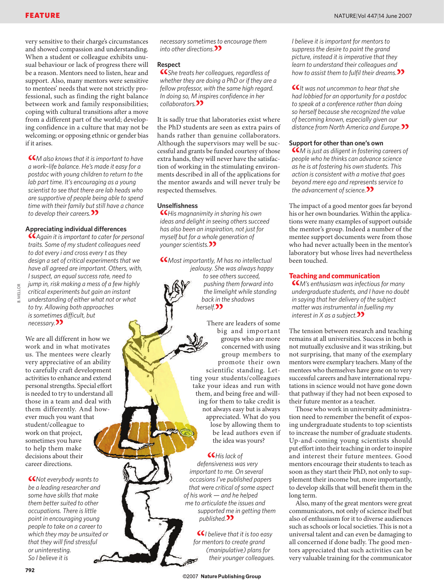very sensitive to their charge's circumstances and showed compassion and understanding. When a student or colleague exhibits unusual behaviour or lack of progress there will be a reason. Mentors need to listen, hear and support. Also, many mentors were sensitive to mentees' needs that were not strictly professional, such as finding the right balance between work and family responsibilities; coping with cultural transitions after a move from a different part of the world; developing confidence in a culture that may not be welcoming; or opposing ethnic or gender bias if it arises.

**"***M also knows that it is important to have a work–life balance. He's made it easy for a postdoc with young children to return to the lab part time. It's encouraging as a young scientist to see that there are lab heads who are supportive of people being able to spend time with their family but still have a chance to develop their careers.* **"**

#### **Appreciating individual differences**

**"***Again it is important to cater for personal traits. Some of my student colleagues need to dot every i and cross every t as they design a set of critical experiments that we have all agreed are important. Others, with, I suspect, an equal success rate, need to jump in, risk making a mess of a few highly critical experiments but gain an instant understanding of either what not or what to try. Allowing both approaches is sometimes difficult, but necessary.* **"**

We are all different in how we work and in what motivates us. The mentees were clearly very appreciative of an ability to carefully craft development activities to enhance and extend personal strengths. Special effort is needed to try to understand all those in a team and deal with them differently. And however much you want that student/colleague to work on that project, sometimes you have to help them make decisions about their career directions.

**"***Not everybody wants to be a leading researcher and some have skills that make them better suited to other occupations. There is little point in encouraging young people to take on a career to which they may be unsuited or that they will find stressful or uninteresting. So I believe it is* 

**792**

*necessary sometimes to encourage them into other directions.* **"**

**Respect**<br> **C** She treats her collegaues, regardless of **"***She treats her colleagues, regardless of whether they are doing a PhD or if they are a fellow professor, with the same high regard. In doing so, M inspires confidence in her collaborators.* **"**

It is sadly true that laboratories exist where the PhD students are seen as extra pairs of hands rather than genuine collaborators. Although the supervisors may well be successful and grants be funded courtesy of those extra hands, they will never have the satisfaction of working in the stimulating environments described in all of the applications for the mentor awards and will never truly be respected themselves.

#### **Unselfishness**

**"***His magnanimity in sharing his own ideas and delight in seeing others succeed has also been an inspiration, not just for myself but for a whole generation of younger scientists.* **"**

**"***Most importantly, M has no intellectual jealousy. She was always happy to see others succeed, pushing them forward into the limelight while standing back in the shadows herself.* **"**

There are leaders of some big and important groups who are more concerned with using group members to promote their own scientific standing. Letting your students/colleagues take your ideas and run with them, and being free and willing for them to take credit is not always easy but is always appreciated. What do you lose by allowing them to be lead authors even if the idea was yours?

### **"***His lack of*

*defensiveness was very important to me. On several occasions I've published papers that were critical of some aspect of his work — and he helped me to articulate the issues and supported me in getting them published.* **"**

**"***I believe that it is too easy for mentors to create grand (manipulative) plans for their younger colleagues.*  *I believe it is important for mentors to suppress the desire to paint the grand picture, instead it is imperative that they learn to understand their colleagues and how to assist them to fulfil their dreams.* **"**

**"***It was not uncommon to hear that she had lobbied for an opportunity for a postdoc to speak at a conference rather than doing so herself because she recognized the value of becoming known, especially given our distance from North America and Europe.* **"**

#### **Support for other than one's own**

**"***M is just as diligent in fostering careers of people who he thinks can advance science as he is at fostering his own students. This action is consistent with a motive that goes beyond mere ego and represents service to the advancement of science.* **"**

The impact of a good mentor goes far beyond his or her own boundaries. Within the applications were many examples of support outside the mentor's group. Indeed a number of the mentee support documents were from those who had never actually been in the mentor's laboratory but whose lives had nevertheless been touched.

## **Teaching and communication**<br>**CC**M's enthusiasm was infectious for many

**"***M's enthusiasm was infectious for many undergraduate students, and I have no doubt in saying that her delivery of the subject matter was instrumental in fuelling my interest in X as a subject.* **"**

The tension between research and teaching remains at all universities. Success in both is not mutually exclusive and it was striking, but not surprising, that many of the exemplary mentors were exemplary teachers. Many of the mentees who themselves have gone on to very successful careers and have international reputations in science would not have gone down that pathway if they had not been exposed to their future mentor as a teacher.

Those who work in university administration need to remember the benefit of exposing undergraduate students to top scientists to increase the number of graduate students. Up-and-coming young scientists should put effort into their teaching in order to inspire and interest their future mentees. Good mentors encourage their students to teach as soon as they start their PhD, not only to supplement their income but, more importantly, to develop skills that will benefit them in the long term.

Also, many of the great mentors were great communicators, not only of science itself but also of enthusiasm for it to diverse audiences such as schools or local societies. This is not a universal talent and can even be damaging to all concerned if done badly. The good mentors appreciated that such activities can be very valuable training for the communicator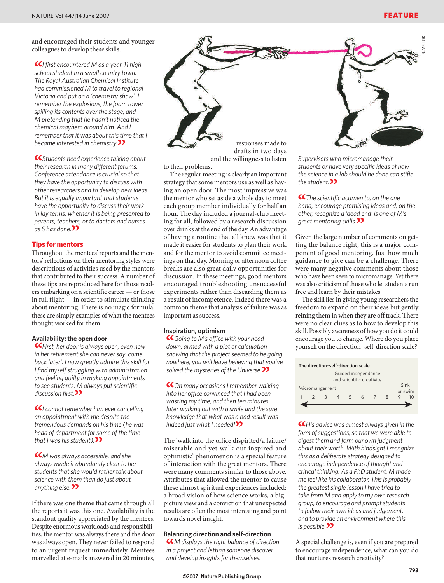and encouraged their students and younger colleagues to develop these skills.

**"***I first encountered M as a year-11 high-school student in a small country town. The Royal Australian Chemical Institute had commissioned M to travel to regional Victoria and put on a 'chemistry show'. I remember the explosions, the foam tower spilling its contents over the stage, and M pretending that he hadn't noticed the chemical mayhem around him. And I remember that it was about this time that I became interested in chemistry.* **"**

**"***Students need experience talking about their research in many different forums. Conference attendance is crucial so that they have the opportunity to discuss with other researchers and to develop new ideas. But it is equally important that students have the opportunity to discuss their work in lay terms, whether it is being presented to parents, teachers, or to doctors and nurses as S has done.* **"**

#### **Tips for mentors**

Throughout the mentees' reports and the mentors' reflections on their mentoring styles were descriptions of activities used by the mentors that contributed to their success. A number of these tips are reproduced here for those readers embarking on a scientific career — or those in full flight — in order to stimulate thinking about mentoring. There is no magic formula; these are simply examples of what the mentees thought worked for them.

#### **Availability: the open door**

**"***First, her door is always open, even now in her retirement she can never say 'come back later'. I now greatly admire this skill for I find myself struggling with administration and feeling guilty in making appointments to see students. M always put scientific discussion first.* **"**

**"***I cannot remember him ever cancelling an appointment with me despite the tremendous demands on his time (he was head of department for some of the time that I was his student).* **"**

**"***M was always accessible, and she always made it abundantly clear to her students that she would rather talk about science with them than do just about anything else.* **"**

If there was one theme that came through all the reports it was this one. Availability is the standout quality appreciated by the mentees. Despite enormous workloads and responsibilities, the mentor was always there and the door was always open. They never failed to respond to an urgent request immediately. Mentees marvelled at e-mails answered in 20 minutes,

responses made to drafts in two days and the willingness to listen

to their problems.

The regular meeting is clearly an important strategy that some mentors use as well as having an open door. The most impressive was the mentor who set aside a whole day to meet each group member individually for half an hour. The day included a journal-club meeting for all, followed by a research discussion over drinks at the end of the day. An advantage of having a routine that all knew was that it made it easier for students to plan their work and for the mentor to avoid committee meetings on that day. Morning or afternoon coffee breaks are also great daily opportunities for discussion. In these meetings, good mentors encouraged troubleshooting unsuccessful experiments rather than discarding them as a result of incompetence. Indeed there was a common theme that analysis of failure was as important as success.

#### **Inspiration, optimism**

**"***Going to M's office with your head down, armed with a plot or calculation showing that the project seemed to be going nowhere, you will leave believing that you've solved the mysteries of the Universe.* **"**

**"***On many occasions I remember walking into her office convinced that I had been wasting my time, and then ten minutes later walking out with a smile and the sure knowledge that what was a bad result was indeed just what I needed!* **"**

The 'walk into the office dispirited/a failure/ miserable and yet walk out inspired and optimistic' phenomenon is a special feature of interaction with the great mentors. There were many comments similar to those above. Attributes that allowed the mentor to cause these almost spiritual experiences included: a broad vision of how science works, a bigpicture view and a conviction that unexpected results are often the most interesting and point towards novel insight.

#### **Balancing direction and self-direction**

**"***M displays the right balance of direction in a project and letting someone discover and develop insights for themselves.* 



*Supervisors who micromanage their students or have very specific ideas of how the science in a lab should be done can stifle the student.* **"**

**"CT**he scientific acumen to, on the one **hand, encourage promising ideas and, on the** *other, recognize a 'dead end' is one of M's great mentoring skills.* **"**

Given the large number of comments on getting the balance right, this is a major component of good mentoring. Just how much guidance to give can be a challenge. There were many negative comments about those who have been seen to micromanage. Yet there was also criticism of those who let students run free and learn by their mistakes.

The skill lies in giving young researchers the freedom to expand on their ideas but gently reining them in when they are off track. There were no clear clues as to how to develop this skill. Possibly awareness of how you do it could encourage you to change. Where do you place yourself on the direction–self-direction scale?



**"***His advice was almost always given in the form of suggestions, so that we were able to digest them and form our own judgment about their worth. With hindsight I recognize this as a deliberate strategy designed to encourage independence of thought and critical thinking. As a PhD student, M made me feel like his collaborator. This is probably the greatest single lesson I have tried to take from M and apply to my own research group, to encourage and prompt students to follow their own ideas and judgement, and to provide an environment where this is possible.* **"**

A special challenge is, even if you are prepared to encourage independence, what can you do that nurtures research creativity?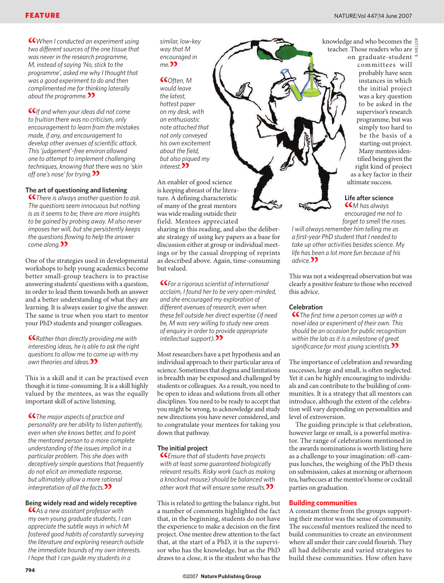**"***When I conducted an experiment using two different sources of the one tissue that was never in the research programme, M, instead of saying 'No, stick to the programme', asked me why I thought that was a good experiment to do and then complimented me for thinking laterally about the programme.* **"**

**"***If and when your ideas did not come to fruition there was no criticism, only encouragement to learn from the mistakes made, if any, and encouragement to develop other avenues of scientific attack. This 'judgement'-free environ allowed one to attempt to implement challenging techniques, knowing that there was no 'skin off one's nose' for trying.* **"**

#### **The art of questioning and listening**

**"***There is always another question to ask. The questions seem innocuous but nothing is as it seems to be; there are more insights to be gained by probing away. M also never imposes her will, but she persistently keeps the questions flowing to help the answer come along.* **"**

One of the strategies used in developmental workshops to help young academics become better small-group teachers is to practise answering students' questions with a question, in order to lead them towards both an answer and a better understanding of what they are learning. It is always easier to give the answer. The same is true when you start to mentor your PhD students and younger colleagues.

**"***Rather than directly providing me with interesting ideas, he is able to ask the right questions to allow me to come up with my own theories and ideas.* **"**

This is a skill and it can be practised even though it is time-consuming. It is a skill highly valued by the mentees, as was the equally important skill of active listening.

**"***The major aspects of practice and personality are her ability to listen patiently, even when she knows better, and to point the mentored person to a more complete understanding of the issues implicit in a particular problem. This she does with deceptively simple questions that frequently do not elicit an immediate response, but ultimately allow a more rational interpretation of all the facts.* **"**

#### **Being widely read and widely receptive**

**"***As a new assistant professor with my own young graduate students, I can appreciate the subtle ways in which M fostered good habits of constantly surveying the literature and exploring research outside the immediate bounds of my own interests. I hope that I can guide my students in a* 

*similar, low-key way that M encouraged in*  me.<sup>99</sup>

**"***Often, M would leave the latest, hottest paper on my desk, with an enthusiastic note attached that not only conveyed his own excitement about the field, but also piqued my*  **"**<br>**"** 

An enabler of good science is keeping abreast of the literature. A defining characteristic of many of the great mentors was wide reading outside their field. Mentees appreciated

sharing in this reading, and also the deliberate strategy of using key papers as a base for discussion either at group or individual meetings or by the casual dropping of reprints as described above. Again, time-consuming but valued.

**"***For a rigorous scientist of international acclaim, I found her to be very open-minded, and she encouraged my exploration of different avenues of research, even when these fell outside her direct expertise (if need be, M was very willing to study new areas of enquiry in order to provide appropriate intellectual support).* **"**

Most researchers have a pet hypothesis and an individual approach to their particular area of science. Sometimes that dogma and limitations in breadth may be exposed and challenged by students or colleagues. As a result, you need to be open to ideas and solutions from all other disciplines. You need to be ready to accept that you might be wrong, to acknowledge and study new directions you have never considered, and to congratulate your mentees for taking you down that pathway.

#### **The initial project**

**"***Ensure that all students have projects with at least some guaranteed biologically relevant results. Risky work (such as making a knockout mouse) should be balanced with other work that will ensure some results.* **"**

This is related to getting the balance right, but a number of comments highlighted the fact that, in the beginning, students do not have the experience to make a decision on the first project. One mentee drew attention to the fact that, at the start of a PhD, it is the supervisor who has the knowledge, but as the PhD draws to a close, it is the student who has the

knowledge and who becomes the teacher. Those readers who are B. MELLOR

on graduate-student

committees will probably have seen instances in which the initial project was a key question to be asked in the supervisor's research programme, but was simply too hard to be the basis of a starting-out project. Many mentees identified being given the right kind of project as a key factor in their ultimate success.

**Life after science** 

**"***M has always encouraged me not to forget to smell the roses.* 

*I will always remember him telling me as a first-year PhD student that I needed to take up other activities besides science. My life has been a lot more fun because of his advice.* **"**

This was not a widespread observation but was clearly a positive feature to those who received this advice.

**Celebration**<br>**C**The first time a person comes up with a **"***The first time a person comes up with a novel idea or experiment of their own. This should be an occasion for public recognition within the lab as it is a milestone of great significance for most young scientists.* **"**

The importance of celebration and rewarding successes, large and small, is often neglected. Yet it can be highly encouraging to individuals and can contribute to the building of communities. It is a strategy that all mentors can introduce, although the extent of the celebration will vary depending on personalities and level of extroversion.

The guiding principle is that celebration, however large or small, is a powerful motivator. The range of celebrations mentioned in the awards nominations is worth listing here as a challenge to your imagination: off-campus lunches, the weighing of the PhD thesis on submission, cakes at morning or afternoon tea, barbecues at the mentor's home or cocktail parties on graduation.

#### **Building communities**

A constant theme from the groups supporting their mentor was the sense of community. The successful mentors realized the need to build communities to create an environment where all under their care could flourish. They all had deliberate and varied strategies to build these communities. How often have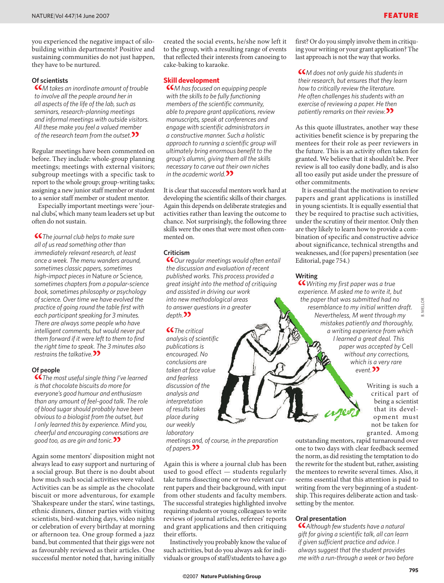you experienced the negative impact of silobuilding within departments? Positive and sustaining communities do not just happen, they have to be nurtured.

#### **Of scientists**

**"***M takes an inordinate amount of trouble to involve all the people around her in all aspects of the life of the lab, such as seminars, research-planning meetings and informal meetings with outside visitors. All these make you feel a valued member of the research team from the outset.* **"**

Regular meetings have been commented on before. They include: whole-group planning meetings; meetings with external visitors; subgroup meetings with a specific task to report to the whole group; group-writing tasks; assigning a new junior staff member or student to a senior staff member or student mentor.

Especially important meetings were 'journal clubs', which many team leaders set up but often do not sustain.

**"***The journal club helps to make sure all of us read something other than immediately relevant research, at least once a week. The menu wanders around, sometimes classic papers, sometimes high-impact pieces in* Nature *or* Science*, sometimes chapters from a popular-science book, sometimes philosophy or psychology of science. Over time we have evolved the practice of going round the table first with each participant speaking for 3 minutes. There are always some people who have intelligent comments, but would never put them forward if it were left to them to find the right time to speak. The 3 minutes also restrains the talkative.* **"**

#### **Of people**

**"***The most useful single thing I've learned is that chocolate biscuits do more for everyone's good humour and enthusiasm than any amount of feel-good talk. The role of blood sugar should probably have been obvious to a biologist from the outset, but I only learned this by experience. Mind you, cheerful and encouraging conversations are good too, as are gin and tonic.* **"**

Again some mentors' disposition might not always lead to easy support and nurturing of a social group. But there is no doubt about how much such social activities were valued. Activities can be as simple as the chocolate biscuit or more adventurous, for example 'Shakespeare under the stars', wine tastings, ethnic dinners, dinner parties with visiting scientists, bird-watching days, video nights or celebration of every birthday at morning or afternoon tea. One group formed a jazz band, but commented that their gigs were not as favourably reviewed as their articles. One successful mentor noted that, having initially

created the social events, he/she now left it to the group, with a resulting range of events that reflected their interests from canoeing to cake-baking to karaoke.

#### **Skill development**

**"***M has focused on equipping people with the skills to be fully functioning members of the scientific community, able to prepare grant applications, review manuscripts, speak at conferences and engage with scientific administrators in a constructive manner. Such a holistic approach to running a scientific group will ultimately bring enormous benefit to the group's alumni, giving them all the skills necessary to carve out their own niches in the academic world.* **"**

It is clear that successful mentors work hard at developing the scientific skills of their charges. Again this depends on deliberate strategies and activities rather than leaving the outcome to chance. Not surprisingly, the following three skills were the ones that were most often commented on.

#### **Criticism**

**"***Our regular meetings would often entail the discussion and evaluation of recent published works. This process provided a great insight into the method of critiquing and assisted in driving our work into new methodological areas to answer questions in a greater depth.* **"**

**"***The critical analysis of scientific publications is encouraged. No conclusions are taken at face value and fearless discussion of the analysis and interpretation of results takes place during our weekly laboratory* 

*meetings and, of course, in the preparation of papers***. <b>>>** 

Again this is where a journal club has been used to good effect — students regularly take turns dissecting one or two relevant current papers and their background, with input from other students and faculty members. The successful strategies highlighted involve requiring students or young colleagues to write reviews of journal articles, referees' reports and grant applications and then critiquing their efforts.

Instinctively you probably know the value of such activities, but do you always ask for individuals or groups of staff/students to have a go

first? Or do you simply involve them in critiquing your writing or your grant application? The last approach is not the way that works.

**"***M does not only guide his students in their research, but ensures that they learn how to critically review the literature. He often challenges his students with an exercise of reviewing a paper. He then patiently remarks on their review.* **"**

As this quote illustrates, another way these activities benefit science is by preparing the mentees for their role as peer reviewers in the future. This is an activity often taken for granted. We believe that it shouldn't be. Peer review is all too easily done badly, and is also all too easily put aside under the pressure of other commitments.

It is essential that the motivation to review papers and grant applications is instilled in young scientists. It is equally essential that they be required to practise such activities, under the scrutiny of their mentor. Only then are they likely to learn how to provide a combination of specific and constructive advice about significance, technical strengths and weaknesses, and (for papers) presentation (see Editorial, page 754.)

#### **Writing**

**"***Writing my first paper was a true experience. M asked me to write it, but the paper that was submitted had no resemblance to my initial written draft. Nevertheless, M went through my mistakes patiently and thoroughly, a writing experience from which I learned a great deal. This paper was accepted by* Cell *without any corrections, which is a very rare event.* **"**

Writing is such a critical part of being a scientist that its development must not be taken for granted. Among

B. MELLOR

outstanding mentors, rapid turnaround over one to two days with clear feedback seemed the norm, as did resisting the temptation to do the rewrite for the student but, rather, assisting the mentees to rewrite several times. Also, it seems essential that this attention is paid to writing from the very beginning of a studentship. This requires deliberate action and tasksetting by the mentor.

#### **Oral presentation**

**"***Although few students have a natural gift for giving a scientific talk, all can learn if given sufficient practice and advice. I always suggest that the student provides me with a run-through a week or two before*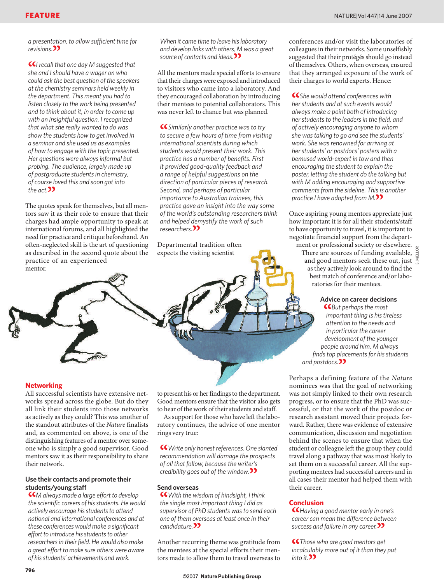*a presentation, to allow sufficient time for revisions.* **"**

**"***I recall that one day M suggested that she and I should have a wager on who could ask the best question of the speakers at the chemistry seminars held weekly in the department. This meant you had to listen closely to the work being presented and to think about it, in order to come up with an insightful question. I recognized that what she really wanted to do was show the students how to get involved in a seminar and she used us as examples of how to engage with the topic presented. Her questions were always informal but probing. The audience, largely made up of postgraduate students in chemistry, of course loved this and soon got into the act.* **"**

The quotes speak for themselves, but all mentors saw it as their role to ensure that their charges had ample opportunity to speak at international forums, and all highlighted the need for practice and critique beforehand. An often-neglected skill is the art of questioning as described in the second quote about the practice of an experienced mentor.

*When it came time to leave his laboratory and develop links with others, M was a great source of contacts and ideas.* **"**

All the mentors made special efforts to ensure that their charges were exposed and introduced to visitors who came into a laboratory. And they encouraged collaboration by introducing their mentees to potential collaborators. This was never left to chance but was planned.

**"***Similarly another practice was to try to secure a few hours of time from visiting international scientists during which students would present their work. This practice has a number of benefits. First it provided good-quality feedback and a range of helpful suggestions on the direction of particular pieces of research. Second, and perhaps of particular importance to Australian trainees, this practice gave an insight into the way some of the world's outstanding researchers think and helped demystify the work of such researchers.* **"**

Departmental tradition often expects the visiting scientist

conferences and/or visit the laboratories of colleagues in their networks. Some unselfishly suggested that their protégés should go instead of themselves. Others, when overseas, ensured that they arranged exposure of the work of their charges to world experts. Hence:

**"***She would attend conferences with her students and at such events would always make a point both of introducing her students to the leaders in the field, and of actively encouraging anyone to whom she was talking to go and see the students' work. She was renowned for arriving at her students' or postdocs' posters with a bemused world-expert in tow and then encouraging the student to explain the poster, letting the student do the talking but with M adding encouraging and supportive comments from the sideline. This is another practice I have adopted from M.* **"**

Once aspiring young mentors appreciate just how important it is for all their students/staff to have opportunity to travel, it is important to negotiate financial support from the department or professional society or elsewhere.  $\frac{8}{3}$ There are sources of funding available, and good mentors seek these out, just as they actively look around to find the best match of conference and/or laboratories for their mentees.

B. MELLOR

**Advice on career decisions**

**"***But perhaps the most important thing is his tireless attention to the needs and in particular the career development of the younger people around him. M always finds top placements for his students and postdocs.* **"**

Perhaps a defining feature of the *Nature* nominees was that the goal of networking was not simply linked to their own research progress, or to ensure that the PhD was successful, or that the work of the postdoc or research assistant moved their projects forward. Rather, there was evidence of extensive communication, discussion and negotiation behind the scenes to ensure that when the student or colleague left the group they could travel along a pathway that was most likely to set them on a successful career. All the supporting mentees had successful careers and in all cases their mentor had helped them with their career.

#### **Conclusion**

**"***Having a good mentor early in one's career can mean the difference between success and failure in any career.* **"**

**"***Those who are good mentors get incalculably more out of it than they put*  **"**<br>*into it*.

#### **Networking**

All successful scientists have extensive networks spread across the globe. But do they all link their students into those networks as actively as they could? This was another of the standout attributes of the *Nature* finalists and, as commented on above, is one of the distinguishing features of a mentor over someone who is simply a good supervisor. Good mentors saw it as their responsibility to share their network.

#### **Use their contacts and promote their students/young staff**

**"***M always made a large effort to develop the scientific careers of his students. He would actively encourage his students to attend national and international conferences and at these conferences would make a significant effort to introduce his students to other researchers in their field. He would also make a great effort to make sure others were aware of his students' achievements and work.* 

to present his or her findings to the department. Good mentors ensure that the visitor also gets to hear of the work of their students and staff.

As support for those who have left the laboratory continues, the advice of one mentor rings very true:

**"***Write only honest references. One slanted recommendation will damage the prospects of all that follow, because the writer's credibility goes out of the window.* **"**

#### **Send overseas**

**"***With the wisdom of hindsight, I think the single most important thing I did as supervisor of PhD students was to send each one of them overseas at least once in their candidature.* **"**

Another recurring theme was gratitude from the mentees at the special efforts their mentors made to allow them to travel overseas to